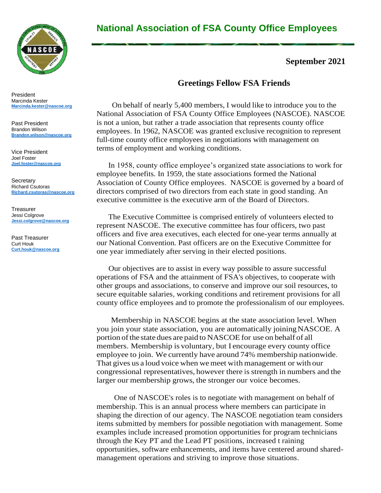

#### President Marcinda Kester **[Marcinda.kester@nascoe.org](mailto:Marcinda.kester@nascoe.org)**

Past President Brandon Wilson **[Brandon.wilson@nascoe.org](mailto:Brandon.wilson@nascoe.org)**

Vice President Joel Foster **[Joel.foster@nascoe.org](mailto:Joel.foster@nascoe.org)**

**Secretary** Richard Csutoras **[Richard.csutoras@nascoe.org](mailto:Richard.csutoras@nascoe.org)**

Treasurer Jessi Colgrove **[Jessi.colgrove@nascoe.org](mailto:Jessi.colgrove@nascoe.org)**

Past Treasurer Curt Houk **[Curt.houk@nascoe.org](mailto:Curt.houk@nascoe.org)** 

# **National Association of FSA County Office Employees**

#### **September 2021**

### **Greetings Fellow FSA Friends**

On behalf of nearly 5,400 members, I would like to introduce you to the National Association of FSA County Office Employees (NASCOE). NASCOE is not a union, but rather a trade association that represents county office employees. In 1962, NASCOE was granted exclusive recognition to represent full-time county office employees in negotiations with management on terms of employment and working conditions.

In 1958, county office employee's organized state associations to work for employee benefits. In 1959, the state associations formed the National Association of County Office employees. NASCOE is governed by a board of directors comprised of two directors from each state in good standing. An executive committee is the executive arm of the Board of Directors.

 The Executive Committee is comprised entirely of volunteers elected to represent NASCOE. The executive committee has four officers, two past officers and five area executives, each elected for one-year terms annually at our National Convention. Past officers are on the Executive Committee for one year immediately after serving in their elected positions.

Our objectives are to assist in every way possible to assure successful operations of FSA and the attainment of FSA's objectives, to cooperate with other groups and associations, to conserve and improve our soil resources, to secure equitable salaries, working conditions and retirement provisions for all county office employees and to promote the professionalism of our employees.

 Membership in NASCOE begins at the state association level. When you join your state association, you are automatically joiningNASCOE. A portion of the state dues are paid to NASCOE for use on behalf of all members. Membership is voluntary, but I encourage every county office employee to join. We currently have around 74% membership nationwide. That gives us a loud voice when wemeet with management or with our congressional representatives, however there isstrength in numbers and the larger our membership grows, the stronger our voice becomes.

 One of NASCOE's roles is to negotiate with management on behalf of membership. This is an annual process where members can participate in shaping the direction of our agency. The NASCOE negotiation team considers items submitted by members for possible negotiation with management. Some examples include increased promotion opportunities for program technicians through the Key PT and the Lead PT positions, increased t raining opportunities, software enhancements, and items have centered around sharedmanagement operations and striving to improve those situations.